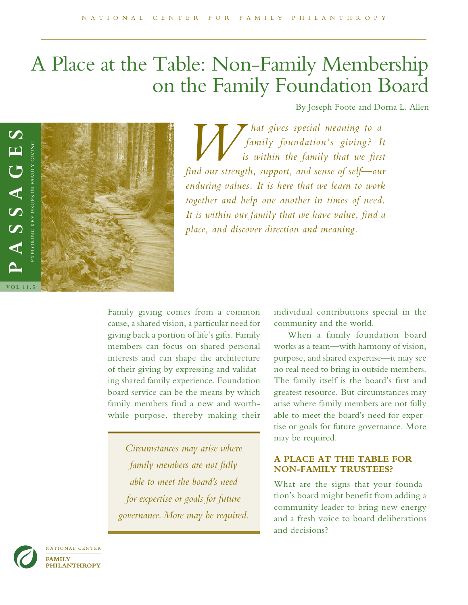# A Place at the Table: Non-Family Membership on the Family Foundation Board

By Joseph Foote and Dorna L. Allen



*Multimary hat gives special meaning to a*<br>*is within the family that we firs*<br>*find our strength sumport, and sense of self-our family foundation's giving? It is within the family that we first find our strength, support, and sense of self—our enduring values. It is here that we learn to work together and help one another in times of need. It is within our family that we have value, find a place, and discover direction and meaning.*

Family giving comes from a common cause, a shared vision, a particular need for giving back a portion of life's gifts. Family members can focus on shared personal interests and can shape the architecture of their giving by expressing and validating shared family experience. Foundation board service can be the means by which family members fnd a new and worthwhile purpose, thereby making their

*Circumstances may arise where family members are not fully able to meet the board's need for expertise or goals for future governance. More may be required.* individual contributions special in the community and the world.

When a family foundation board works as a team—with harmony of vision, purpose, and shared expertise—it may see no real need to bring in outside members. The family itself is the board's frst and greatest resource. But circumstances may arise where family members are not fully able to meet the board's need for expertise or goals for future governance. More may be required.

## **A PLACE AT THE TABLE FOR NON-FAMILY TRUSTEES?**

What are the signs that your foundation's board might benefit from adding a community leader to bring new energy and a fresh voice to board deliberations and decisions?

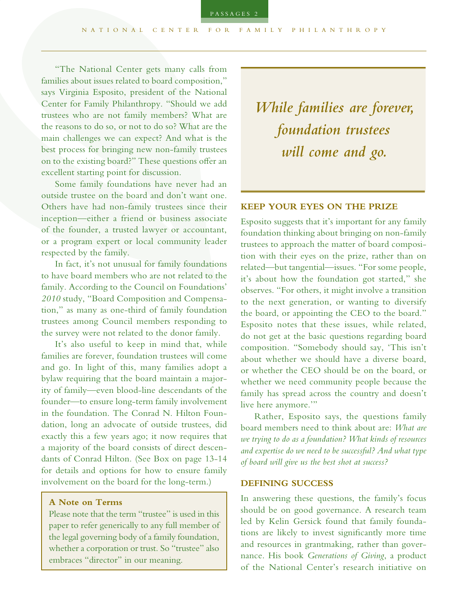"The National Center gets many calls from families about issues related to board composition," says Virginia Esposito, president of the National Center for Family Philanthropy. "Should we add trustees who are not family members? What are the reasons to do so, or not to do so? What are the main challenges we can expect? And what is the best process for bringing new non-family trustees on to the existing board?" These questions offer an excellent starting point for discussion.

Some family foundations have never had an outside trustee on the board and don't want one. Others have had non-family trustees since their inception—either a friend or business associate of the founder, a trusted lawyer or accountant, or a program expert or local community leader respected by the family.

In fact, it's not unusual for family foundations to have board members who are not related to the family. According to the Council on Foundations' *2010* study, "Board Composition and Compensation," as many as one-third of family foundation trustees among Council members responding to the survey were not related to the donor family.

It's also useful to keep in mind that, while families are forever, foundation trustees will come and go. In light of this, many families adopt a bylaw requiring that the board maintain a majority of family—even blood-line descendants of the founder—to ensure long-term family involvement in the foundation. The Conrad N. Hilton Foundation, long an advocate of outside trustees, did exactly this a few years ago; it now requires that a majority of the board consists of direct descendants of Conrad Hilton. (See Box on page 13-14 for details and options for how to ensure family involvement on the board for the long-term.)

#### **A Note on Terms**

Please note that the term "trustee" is used in this paper to refer generically to any full member of the legal governing body of a family foundation, whether a corporation or trust. So "trustee" also embraces "director" in our meaning.

*While families are forever, foundation trustees will come and go.*

#### **KEEP YOUR EYES ON THE PRIZE**

Esposito suggests that it's important for any family foundation thinking about bringing on non-family trustees to approach the matter of board composition with their eyes on the prize, rather than on related—but tangential—issues. "For some people, it's about how the foundation got started," she observes. "For others, it might involve a transition to the next generation, or wanting to diversify the board, or appointing the CEO to the board." Esposito notes that these issues, while related, do not get at the basic questions regarding board composition. "Somebody should say, 'This isn't about whether we should have a diverse board, or whether the CEO should be on the board, or whether we need community people because the family has spread across the country and doesn't live here anymore.'"

Rather, Esposito says, the questions family board members need to think about are: *What are we trying to do as a foundation? What kinds of resources and expertise do we need to be successful? And what type of board will give us the best shot at success?*

#### **DEFINING SUCCESS**

In answering these questions, the family's focus should be on good governance. A research team led by Kelin Gersick found that family foundations are likely to invest signifcantly more time and resources in grantmaking, rather than governance. His book *Generations of Giving*, a product of the National Center's research initiative on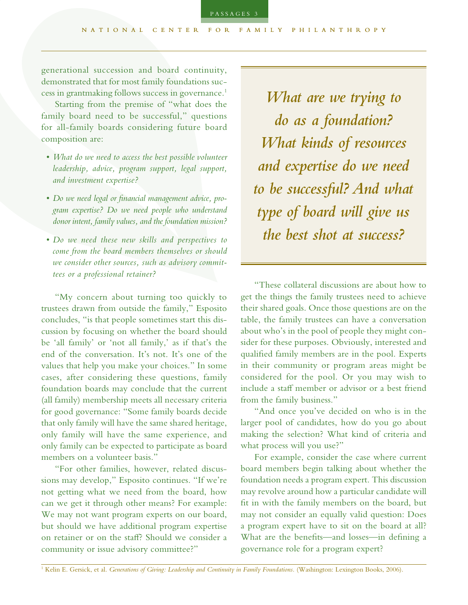demonstrated that for most family foundations success in grantmaking follows success in governance.1

Starting from the premise of "what does the family board need to be successful," questions for all-family boards considering future board composition are:

- *What do we need to access the best possible volunteer leadership, advice, program support, legal support, and investment expertise?*
- *Do we need legal or fnancial management advice, program expertise? Do we need people who understand donor intent, family values, and the foundation mission?*
- *Do we need these new skills and perspectives to come from the board members themselves or should we consider other sources, such as advisory committees or a professional retainer?*

"My concern about turning too quickly to trustees drawn from outside the family," Esposito concludes, "is that people sometimes start this discussion by focusing on whether the board should be 'all family' or 'not all family,' as if that's the end of the conversation. It's not. It's one of the values that help you make your choices." In some cases, after considering these questions, family foundation boards may conclude that the current (all family) membership meets all necessary criteria for good governance: "Some family boards decide that only family will have the same shared heritage, only family will have the same experience, and only family can be expected to participate as board members on a volunteer basis."

"For other families, however, related discussions may develop," Esposito continues. "If we're not getting what we need from the board, how can we get it through other means? For example: We may not want program experts on our board, but should we have additional program expertise on retainer or on the staf? Should we consider a community or issue advisory committee?"

*What are we trying to do as a foundation? What kinds of resources and expertise do we need to be successful? And what type of board will give us the best shot at success?*

"These collateral discussions are about how to get the things the family trustees need to achieve their shared goals. Once those questions are on the table, the family trustees can have a conversation about who's in the pool of people they might consider for these purposes. Obviously, interested and qualifed family members are in the pool. Experts in their community or program areas might be considered for the pool. Or you may wish to include a staf member or advisor or a best friend from the family business."

"And once you've decided on who is in the larger pool of candidates, how do you go about making the selection? What kind of criteria and what process will you use?"

For example, consider the case where current board members begin talking about whether the foundation needs a program expert. This discussion may revolve around how a particular candidate will ft in with the family members on the board, but may not consider an equally valid question: Does a program expert have to sit on the board at all? What are the benefts—and losses—in defning a governance role for a program expert?

<sup>1</sup> Kelin E. Gersick, et al. *Generations of Giving: Leadership and Continuity in Family Foundations.* (Washington: Lexington Books, 2006).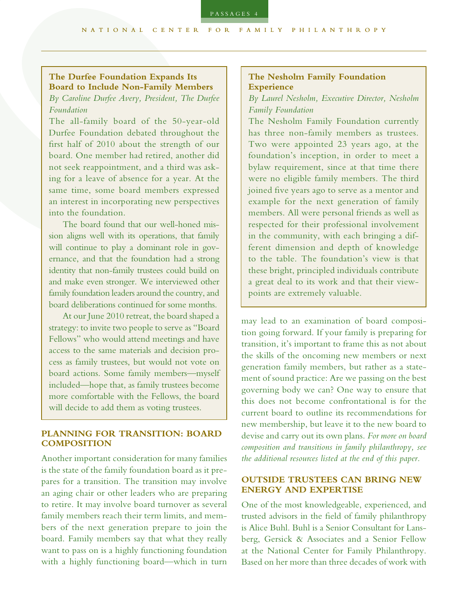PASSAGES

## **The Durfee Foundation Expands Its Board to Include Non-Family Members**

## *By Caroline Durfee Avery, President, The Durfee Foundation*

The all-family board of the 50-year-old Durfee Foundation debated throughout the frst half of 2010 about the strength of our board. One member had retired, another did not seek reappointment, and a third was asking for a leave of absence for a year. At the same time, some board members expressed an interest in incorporating new perspectives into the foundation.

The board found that our well-honed mission aligns well with its operations, that family will continue to play a dominant role in governance, and that the foundation had a strong identity that non-family trustees could build on and make even stronger. We interviewed other family foundation leaders around the country, and board deliberations continued for some months.

At our June 2010 retreat, the board shaped a strategy: to invite two people to serve as "Board Fellows" who would attend meetings and have access to the same materials and decision process as family trustees, but would not vote on board actions. Some family members—myself included—hope that, as family trustees become more comfortable with the Fellows, the board will decide to add them as voting trustees.

#### **PLANNING FOR TRANSITION: BOARD COMPOSITION**

Another important consideration for many families is the state of the family foundation board as it prepares for a transition. The transition may involve an aging chair or other leaders who are preparing to retire. It may involve board turnover as several family members reach their term limits, and members of the next generation prepare to join the board. Family members say that what they really want to pass on is a highly functioning foundation with a highly functioning board—which in turn

## **The Nesholm Family Foundation Experience**

## *By Laurel Nesholm, Executive Director, Nesholm Family Foundation*

The Nesholm Family Foundation currently has three non-family members as trustees. Two were appointed 23 years ago, at the foundation's inception, in order to meet a bylaw requirement, since at that time there were no eligible family members. The third joined fve years ago to serve as a mentor and example for the next generation of family members. All were personal friends as well as respected for their professional involvement in the community, with each bringing a different dimension and depth of knowledge to the table. The foundation's view is that these bright, principled individuals contribute a great deal to its work and that their viewpoints are extremely valuable.

may lead to an examination of board composition going forward. If your family is preparing for transition, it's important to frame this as not about the skills of the oncoming new members or next generation family members, but rather as a statement of sound practice: Are we passing on the best governing body we can? One way to ensure that this does not become confrontational is for the current board to outline its recommendations for new membership, but leave it to the new board to devise and carry out its own plans. *For more on board composition and transitions in family philanthropy, see the additional resources listed at the end of this paper.*

#### **OUTSIDE TRUSTEES CAN BRING NEW ENERGY AND EXPERTISE**

One of the most knowledgeable, experienced, and trusted advisors in the feld of family philanthropy is Alice Buhl. Buhl is a Senior Consultant for Lansberg, Gersick & Associates and a Senior Fellow at the National Center for Family Philanthropy. Based on her more than three decades of work with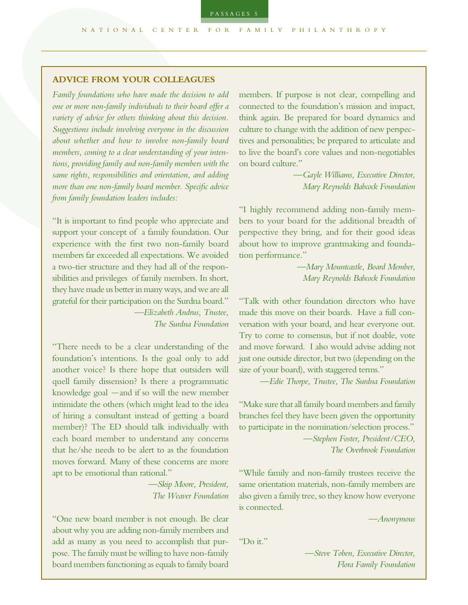## **ADVICE FROM YOUR COLLEAGUES**

*Family foundations who have made the decision to add one or more non-family individuals to their board ofer a variety of advice for others thinking about this decision. Suggestions include involving everyone in the discussion about whether and how to involve non-family board members, coming to a clear understanding of your intentions, providing family and non-family members with the same rights, responsibilities and orientation, and adding more than one non-family board member. Specifc advice from family foundation leaders includes:*

"It is important to fnd people who appreciate and support your concept of a family foundation. Our experience with the frst two non-family board members far exceeded all expectations. We avoided a two-tier structure and they had all of the responsibilities and privileges of family members. In short, they have made us better in many ways, and we are all grateful for their participation on the Surdna board." *—Elizabeth Andrus, Trustee, The Surdna Foundation*

"There needs to be a clear understanding of the foundation's intentions. Is the goal only to add another voice? Is there hope that outsiders will quell family dissension? Is there a programmatic knowledge goal —and if so will the new member intimidate the others (which might lead to the idea of hiring a consultant instead of getting a board member)? The ED should talk individually with each board member to understand any concerns that he/she needs to be alert to as the foundation moves forward. Many of these concerns are more apt to be emotional than rational."

> *—Skip Moore, President, The Weaver Foundation*

"One new board member is not enough. Be clear about why you are adding non-family members and add as many as you need to accomplish that purpose. The family must be willing to have non-family board members functioning as equals to family board

members. If purpose is not clear, compelling and connected to the foundation's mission and impact, think again. Be prepared for board dynamics and culture to change with the addition of new perspectives and personalities; be prepared to articulate and to live the board's core values and non-negotiables on board culture."

> *—Gayle Williams, Executive Director, Mary Reynolds Babcock Foundation*

"I highly recommend adding non-family members to your board for the additional breadth of perspective they bring, and for their good ideas about how to improve grantmaking and foundation performance."

> *—Mary Mountcastle, Board Member, Mary Reynolds Babcock Foundation*

"Talk with other foundation directors who have made this move on their boards. Have a full conversation with your board, and hear everyone out. Try to come to consensus, but if not doable, vote and move forward. I also would advise adding not just one outside director, but two (depending on the size of your board), with staggered terms."

*—Edie Thorpe, Trustee, The Surdna Foundation*

"Make sure that all family board members and family branches feel they have been given the opportunity to participate in the nomination/selection process."

*—Stephen Foster, President/CEO, The Overbrook Foundation*

"While family and non-family trustees receive the same orientation materials, non-family members are also given a family tree, so they know how everyone is connected.

*—Anonymous*

"Do it."

*—Steve Toben, Executive Director, Flora Family Foundation*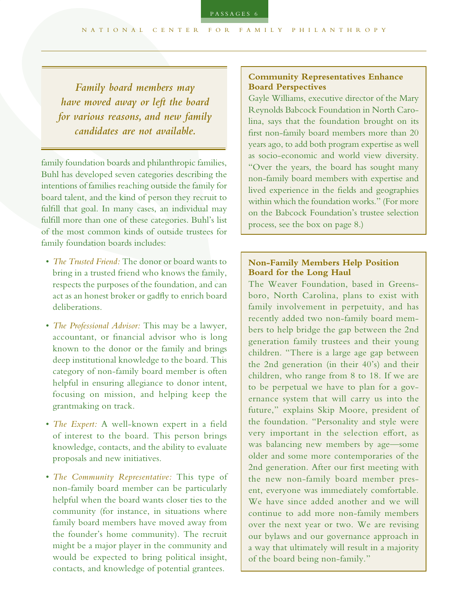*Family board members may have moved away or left the board for various reasons, and new family candidates are not available.*

family foundation boards and philanthropic families, Buhl has developed seven categories describing the intentions of families reaching outside the family for board talent, and the kind of person they recruit to fulfll that goal. In many cases, an individual may fulfll more than one of these categories. Buhl's list of the most common kinds of outside trustees for family foundation boards includes:

- *The Trusted Friend:* The donor or board wants to bring in a trusted friend who knows the family, respects the purposes of the foundation, and can act as an honest broker or gadfy to enrich board deliberations.
- *The Professional Advisor:* This may be a lawyer, accountant, or fnancial advisor who is long known to the donor or the family and brings deep institutional knowledge to the board. This category of non-family board member is often helpful in ensuring allegiance to donor intent, focusing on mission, and helping keep the grantmaking on track.
- *The Expert:* A well-known expert in a feld of interest to the board. This person brings knowledge, contacts, and the ability to evaluate proposals and new initiatives.
- *The Community Representative:* This type of non-family board member can be particularly helpful when the board wants closer ties to the community (for instance, in situations where family board members have moved away from the founder's home community). The recruit might be a major player in the community and would be expected to bring political insight, contacts, and knowledge of potential grantees.

## **Community Representatives Enhance Board Perspectives**

Gayle Williams, executive director of the Mary Reynolds Babcock Foundation in North Carolina, says that the foundation brought on its frst non-family board members more than 20 years ago, to add both program expertise as well as socio-economic and world view diversity. "Over the years, the board has sought many non-family board members with expertise and lived experience in the felds and geographies within which the foundation works." (For more on the Babcock Foundation's trustee selection process, see the box on page 8.)

## **Non-Family Members Help Position Board for the Long Haul**

The Weaver Foundation, based in Greensboro, North Carolina, plans to exist with family involvement in perpetuity, and has recently added two non-family board members to help bridge the gap between the 2nd generation family trustees and their young children. "There is a large age gap between the 2nd generation (in their 40's) and their children, who range from 8 to 18. If we are to be perpetual we have to plan for a governance system that will carry us into the future," explains Skip Moore, president of the foundation. "Personality and style were very important in the selection effort, as was balancing new members by age—some older and some more contemporaries of the 2nd generation. After our frst meeting with the new non-family board member present, everyone was immediately comfortable. We have since added another and we will continue to add more non-family members over the next year or two. We are revising our bylaws and our governance approach in a way that ultimately will result in a majority of the board being non-family."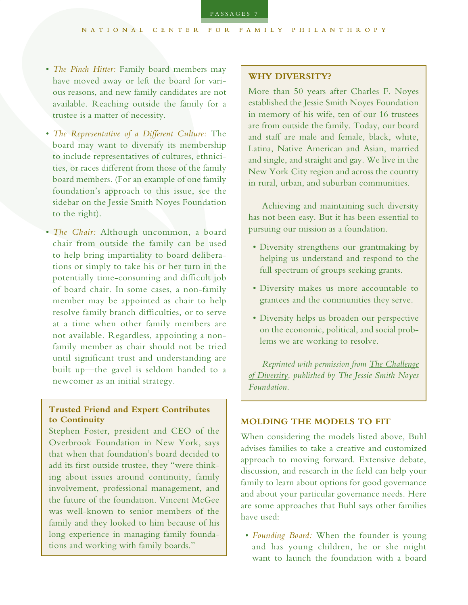- *The Pinch Hitter:* Family board members may have moved away or left the board for various reasons, and new family candidates are not available. Reaching outside the family for a trustee is a matter of necessity.
- *The Representative of a Diferent Culture:* The board may want to diversify its membership to include representatives of cultures, ethnicities, or races diferent from those of the family board members. (For an example of one family foundation's approach to this issue, see the sidebar on the Jessie Smith Noyes Foundation to the right).
- *The Chair:* Although uncommon, a board chair from outside the family can be used to help bring impartiality to board deliberations or simply to take his or her turn in the potentially time-consuming and difficult job of board chair. In some cases, a non-family member may be appointed as chair to help resolve family branch difficulties, or to serve at a time when other family members are not available. Regardless, appointing a nonfamily member as chair should not be tried until significant trust and understanding are built up—the gavel is seldom handed to a newcomer as an initial strategy.

## **Trusted Friend and Expert Contributes to Continuity**

Stephen Foster, president and CEO of the Overbrook Foundation in New York, says that when that foundation's board decided to add its frst outside trustee, they "were thinking about issues around continuity, family involvement, professional management, and the future of the foundation. Vincent McGee was well-known to senior members of the family and they looked to him because of his long experience in managing family foundations and working with family boards."

#### **WHY DIVERSITY?**

More than 50 years after Charles F. Noyes established the Jessie Smith Noyes Foundation in memory of his wife, ten of our 16 trustees are from outside the family. Today, our board and staff are male and female, black, white, Latina, Native American and Asian, married and single, and straight and gay. We live in the New York City region and across the country in rural, urban, and suburban communities.

Achieving and maintaining such diversity has not been easy. But it has been essential to pursuing our mission as a foundation.

- Diversity strengthens our grantmaking by helping us understand and respond to the full spectrum of groups seeking grants.
- Diversity makes us more accountable to grantees and the communities they serve.
- Diversity helps us broaden our perspective on the economic, political, and social problems we are working to resolve.

*Reprinted with permission from The [Challenge](http://www.noyes.org/sites/default/files/noyes_brochure13.pdf) of [Diversity,](http://www.noyes.org/sites/default/files/noyes_brochure13.pdf) published by The Jessie Smith Noyes Foundation.*

#### **MOLDING THE MODELS TO FIT**

When considering the models listed above, Buhl advises families to take a creative and customized approach to moving forward. Extensive debate, discussion, and research in the feld can help your family to learn about options for good governance and about your particular governance needs. Here are some approaches that Buhl says other families have used:

• *Founding Board:* When the founder is young and has young children, he or she might want to launch the foundation with a board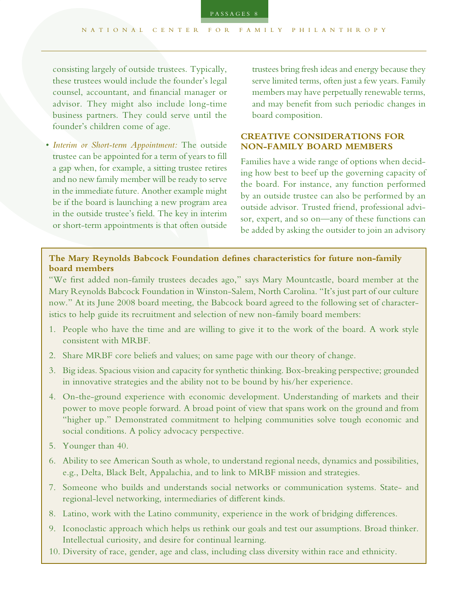consisting largely of outside trustees. Typically, these trustees would include the founder's legal counsel, accountant, and fnancial manager or advisor. They might also include long-time business partners. They could serve until the founder's children come of age.

• *Interim or Short-term Appointment:* The outside trustee can be appointed for a term of years to fll a gap when, for example, a sitting trustee retires and no new family member will be ready to serve in the immediate future. Another example might be if the board is launching a new program area in the outside trustee's feld. The key in interim or short-term appointments is that often outside

trustees bring fresh ideas and energy because they serve limited terms, often just a few years. Family members may have perpetually renewable terms, and may beneft from such periodic changes in board composition.

## **CREATIVE CONSIDERATIONS FOR NON-FAMILY BOARD MEMBERS**

Families have a wide range of options when deciding how best to beef up the governing capacity of the board. For instance, any function performed by an outside trustee can also be performed by an outside advisor. Trusted friend, professional advisor, expert, and so on—any of these functions can be added by asking the outsider to join an advisory

## **The Mary Reynolds Babcock Foundation defnes characteristics for future non-family board members**

"We frst added non-family trustees decades ago," says Mary Mountcastle, board member at the Mary Reynolds Babcock Foundation in Winston-Salem, North Carolina. "It's just part of our culture now." At its June 2008 board meeting, the Babcock board agreed to the following set of characteristics to help guide its recruitment and selection of new non-family board members:

- 1. People who have the time and are willing to give it to the work of the board. A work style consistent with MRBF.
- 2. Share MRBF core beliefs and values; on same page with our theory of change.
- 3. Big ideas. Spacious vision and capacity for synthetic thinking. Box-breaking perspective; grounded in innovative strategies and the ability not to be bound by his/her experience.
- 4. On-the-ground experience with economic development. Understanding of markets and their power to move people forward. A broad point of view that spans work on the ground and from "higher up." Demonstrated commitment to helping communities solve tough economic and social conditions. A policy advocacy perspective.
- 5. Younger than 40.
- 6. Ability to see American South as whole, to understand regional needs, dynamics and possibilities, e.g., Delta, Black Belt, Appalachia, and to link to MRBF mission and strategies.
- 7. Someone who builds and understands social networks or communication systems. State- and regional-level networking, intermediaries of diferent kinds.
- 8. Latino, work with the Latino community, experience in the work of bridging diferences.
- 9. Iconoclastic approach which helps us rethink our goals and test our assumptions. Broad thinker. Intellectual curiosity, and desire for continual learning.
- 10. Diversity of race, gender, age and class, including class diversity within race and ethnicity.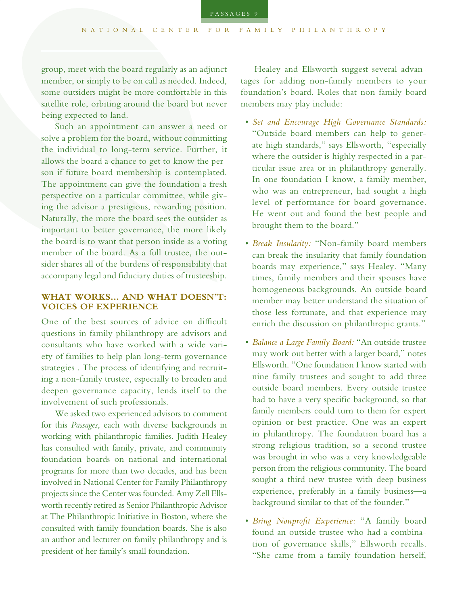group, meet with the board regularly as an adjunct member, or simply to be on call as needed. Indeed, some outsiders might be more comfortable in this satellite role, orbiting around the board but never being expected to land.

Such an appointment can answer a need or solve a problem for the board, without committing the individual to long-term service. Further, it allows the board a chance to get to know the person if future board membership is contemplated. The appointment can give the foundation a fresh perspective on a particular committee, while giving the advisor a prestigious, rewarding position. Naturally, the more the board sees the outsider as important to better governance, the more likely the board is to want that person inside as a voting member of the board. As a full trustee, the outsider shares all of the burdens of responsibility that accompany legal and fduciary duties of trusteeship.

## **WHAT WORKS... AND WHAT DOESN'T: VOICES OF EXPERIENCE**

One of the best sources of advice on difficult questions in family philanthropy are advisors and consultants who have worked with a wide variety of families to help plan long-term governance strategies . The process of identifying and recruiting a non-family trustee, especially to broaden and deepen governance capacity, lends itself to the involvement of such professionals.

We asked two experienced advisors to comment for this *Passages*, each with diverse backgrounds in working with philanthropic families. Judith Healey has consulted with family, private, and community foundation boards on national and international programs for more than two decades, and has been involved in National Center for Family Philanthropy projects since the Center was founded. Amy Zell Ellsworth recently retired as Senior Philanthropic Advisor at The Philanthropic Initiative in Boston, where she consulted with family foundation boards. She is also an author and lecturer on family philanthropy and is president of her family's small foundation.

Healey and Ellsworth suggest several advantages for adding non-family members to your foundation's board. Roles that non-family board members may play include:

- *Set and Encourage High Governance Standards:* "Outside board members can help to generate high standards," says Ellsworth, "especially where the outsider is highly respected in a particular issue area or in philanthropy generally. In one foundation I know, a family member, who was an entrepreneur, had sought a high level of performance for board governance. He went out and found the best people and brought them to the board."
- *Break Insularity:* "Non-family board members can break the insularity that family foundation boards may experience," says Healey. "Many times, family members and their spouses have homogeneous backgrounds. An outside board member may better understand the situation of those less fortunate, and that experience may enrich the discussion on philanthropic grants."
- *Balance a Large Family Board:* "An outside trustee may work out better with a larger board," notes Ellsworth. "One foundation I know started with nine family trustees and sought to add three outside board members. Every outside trustee had to have a very specifc background, so that family members could turn to them for expert opinion or best practice. One was an expert in philanthropy. The foundation board has a strong religious tradition, so a second trustee was brought in who was a very knowledgeable person from the religious community. The board sought a third new trustee with deep business experience, preferably in a family business—a background similar to that of the founder."
- *Bring Nonproft Experience:* "A family board found an outside trustee who had a combination of governance skills," Ellsworth recalls. "She came from a family foundation herself,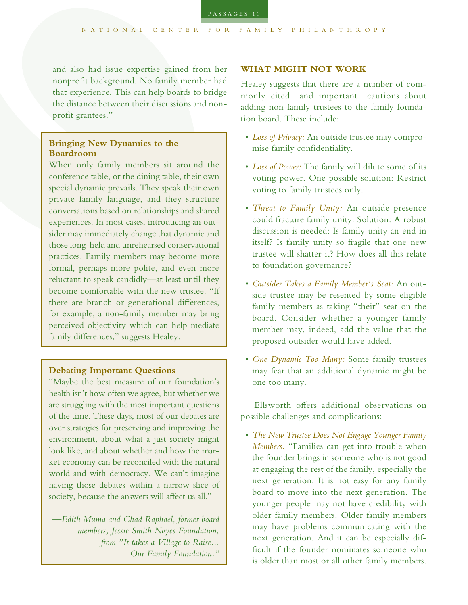and also had issue expertise gained from her nonproft background. No family member had that experience. This can help boards to bridge the distance between their discussions and nonprofit grantees."

## **Bringing New Dynamics to the Boardroom**

When only family members sit around the conference table, or the dining table, their own special dynamic prevails. They speak their own private family language, and they structure conversations based on relationships and shared experiences. In most cases, introducing an outsider may immediately change that dynamic and those long-held and unrehearsed conservational practices. Family members may become more formal, perhaps more polite, and even more reluctant to speak candidly—at least until they become comfortable with the new trustee. "If there are branch or generational diferences, for example, a non-family member may bring perceived objectivity which can help mediate family differences," suggests Healey.

## **Debating Important Questions**

"Maybe the best measure of our foundation's health isn't how often we agree, but whether we are struggling with the most important questions of the time. These days, most of our debates are over strategies for preserving and improving the environment, about what a just society might look like, and about whether and how the market economy can be reconciled with the natural world and with democracy. We can't imagine having those debates within a narrow slice of society, because the answers will affect us all."

*—Edith Muma and Chad Raphael, former board members, Jessie Smith Noyes Foundation, from "It takes a Village to Raise... Our Family Foundation."*

#### **WHAT MIGHT NOT WORK**

Healey suggests that there are a number of commonly cited—and important—cautions about adding non-family trustees to the family foundation board. These include:

- *Loss of Privacy:* An outside trustee may compromise family confdentiality.
- *Loss of Power:* The family will dilute some of its voting power. One possible solution: Restrict voting to family trustees only.
- *Threat to Family Unity:* An outside presence could fracture family unity. Solution: A robust discussion is needed: Is family unity an end in itself? Is family unity so fragile that one new trustee will shatter it? How does all this relate to foundation governance?
- *Outsider Takes a Family Member's Seat:* An outside trustee may be resented by some eligible family members as taking "their" seat on the board. Consider whether a younger family member may, indeed, add the value that the proposed outsider would have added.
- *One Dynamic Too Many:* Some family trustees may fear that an additional dynamic might be one too many.

Ellsworth offers additional observations on possible challenges and complications:

• *The New Trustee Does Not Engage Younger Family Members:* "Families can get into trouble when the founder brings in someone who is not good at engaging the rest of the family, especially the next generation. It is not easy for any family board to move into the next generation. The younger people may not have credibility with older family members. Older family members may have problems communicating with the next generation. And it can be especially diffcult if the founder nominates someone who is older than most or all other family members.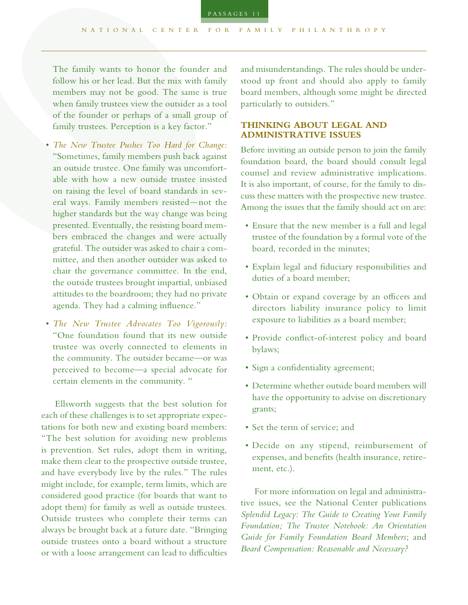The family wants to honor the founder and follow his or her lead. But the mix with family members may not be good. The same is true when family trustees view the outsider as a tool of the founder or perhaps of a small group of family trustees. Perception is a key factor."

- *The New Trustee Pushes Too Hard for Change:* "Sometimes, family members push back against an outside trustee. One family was uncomfortable with how a new outside trustee insisted on raising the level of board standards in several ways. Family members resisted—not the higher standards but the way change was being presented. Eventually, the resisting board members embraced the changes and were actually grateful. The outsider was asked to chair a committee, and then another outsider was asked to chair the governance committee. In the end, the outside trustees brought impartial, unbiased attitudes to the boardroom; they had no private agenda. They had a calming infuence."
- *The New Trustee Advocates Too Vigorously:* "One foundation found that its new outside trustee was overly connected to elements in the community. The outsider became—or was perceived to become—a special advocate for certain elements in the community. "

Ellsworth suggests that the best solution for each of these challenges is to set appropriate expectations for both new and existing board members: "The best solution for avoiding new problems is prevention. Set rules, adopt them in writing, make them clear to the prospective outside trustee, and have everybody live by the rules." The rules might include, for example, term limits, which are considered good practice (for boards that want to adopt them) for family as well as outside trustees. Outside trustees who complete their terms can always be brought back at a future date. "Bringing outside trustees onto a board without a structure or with a loose arrangement can lead to difficulties

and misunderstandings. The rules should be understood up front and should also apply to family board members, although some might be directed particularly to outsiders."

#### **THINKING ABOUT LEGAL AND ADMINISTRATIVE ISSUES**

Before inviting an outside person to join the family foundation board, the board should consult legal counsel and review administrative implications. It is also important, of course, for the family to discuss these matters with the prospective new trustee. Among the issues that the family should act on are:

- Ensure that the new member is a full and legal trustee of the foundation by a formal vote of the board, recorded in the minutes;
- Explain legal and fduciary responsibilities and duties of a board member;
- Obtain or expand coverage by an officers and directors liability insurance policy to limit exposure to liabilities as a board member;
- Provide confict-of-interest policy and board bylaws;
- Sign a confidentiality agreement;
- Determine whether outside board members will have the opportunity to advise on discretionary grants;
- Set the term of service; and
- Decide on any stipend, reimbursement of expenses, and benefts (health insurance, retirement, etc.).

For more information on legal and administrative issues, see the National Center publications *Splendid Legacy: The Guide to Creating Your Family Foundation; The Trustee Notebook: An Orientation Guide for Family Foundation Board Members*; and *Board Compensation: Reasonable and Necessary?*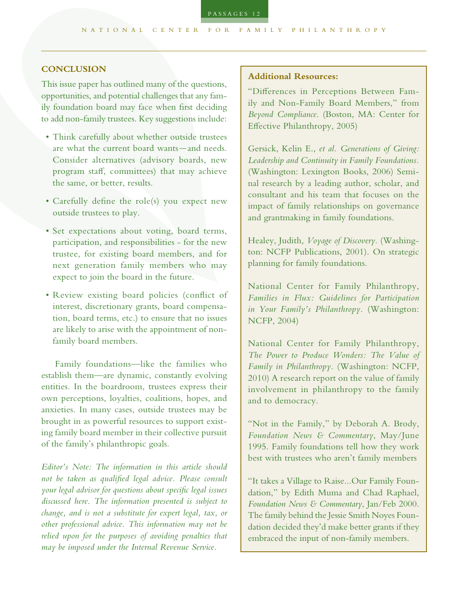#### **CONCLUSION**

This issue paper has outlined many of the questions, opportunities, and potential challenges that any family foundation board may face when frst deciding to add non-family trustees. Key suggestions include:

- Think carefully about whether outside trustees are what the current board wants—and needs. Consider alternatives (advisory boards, new program staf, committees) that may achieve the same, or better, results.
- Carefully defne the role(s) you expect new outside trustees to play.
- Set expectations about voting, board terms, participation, and responsibilities - for the new trustee, for existing board members, and for next generation family members who may expect to join the board in the future.
- Review existing board policies (confict of interest, discretionary grants, board compensation, board terms, etc.) to ensure that no issues are likely to arise with the appointment of nonfamily board members.

Family foundations—like the families who establish them—are dynamic, constantly evolving entities. In the boardroom, trustees express their own perceptions, loyalties, coalitions, hopes, and anxieties. In many cases, outside trustees may be brought in as powerful resources to support existing family board member in their collective pursuit of the family's philanthropic goals.

*Editor's Note: The information in this article should not be taken as qualifed legal advice. Please consult your legal advisor for questions about specifc legal issues discussed here. The information presented is subject to change, and is not a substitute for expert legal, tax, or other professional advice. This information may not be relied upon for the purposes of avoiding penalties that may be imposed under the Internal Revenue Service.*

#### **Additional Resources:**

"Diferences in Perceptions Between Family and Non-Family Board Members," from *Beyond Compliance*. (Boston, MA: Center for Efective Philanthropy, 2005)

Gersick, Kelin E., *et al. Generations of Giving: Leadership and Continuity in Family Foundations.* (Washington: Lexington Books, 2006) Seminal research by a leading author, scholar, and consultant and his team that focuses on the impact of family relationships on governance and grantmaking in family foundations.

Healey, Judith, *Voyage of Discovery*. (Washington: NCFP Publications, 2001). On strategic planning for family foundations.

National Center for Family Philanthropy, *Families in Flux: Guidelines for Participation in Your Family's Philanthropy.* (Washington: NCFP, 2004)

National Center for Family Philanthropy, *The Power to Produce Wonders: The Value of Family in Philanthropy.* (Washington: NCFP, 2010) A research report on the value of family involvement in philanthropy to the family and to democracy.

"Not in the Family," by Deborah A. Brody, *Foundation News & Commentary*, May/June 1995. Family foundations tell how they work best with trustees who aren't family members

"It takes a Village to Raise...Our Family Foundation," by Edith Muma and Chad Raphael, *Foundation News & Commentary*, Jan/Feb 2000. The family behind the Jessie Smith Noyes Foundation decided they'd make better grants if they embraced the input of non-family members.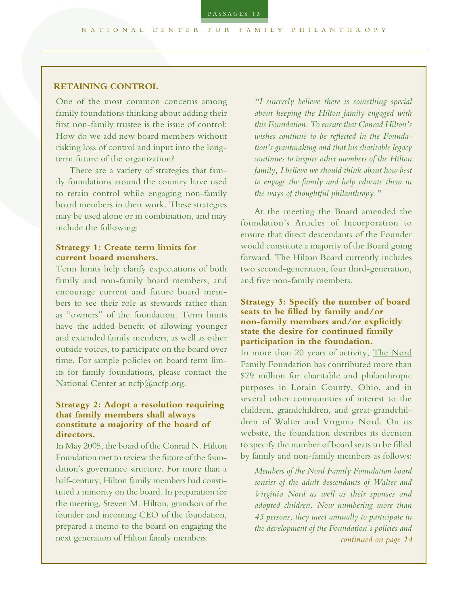#### **RETAINING CONTROL**

One of the most common concerns among family foundations thinking about adding their frst non-family trustee is the issue of control: How do we add new board members without risking loss of control and input into the longterm future of the organization?

There are a variety of strategies that family foundations around the country have used to retain control while engaging non-family board members in their work. These strategies may be used alone or in combination, and may include the following:

## **Strategy 1: Create term limits for current board members.**

Term limits help clarify expectations of both family and non-family board members, and encourage current and future board members to see their role as stewards rather than as "owners" of the foundation. Term limits have the added beneft of allowing younger and extended family members, as well as other outside voices, to participate on the board over time. For sample policies on board term limits for family foundations, please contact the National Center at [ncfp@ncfp.org.](mailto:ncfp%40ncfp.org?subject=Sample%20Policies)

#### **Strategy 2: Adopt a resolution requiring that family members shall always constitute a majority of the board of directors.**

In May 2005, the board of the Conrad N. Hilton Foundation met to review the future of the foundation's governance structure. For more than a half-century, Hilton family members had constituted a minority on the board. In preparation for the meeting, Steven M. Hilton, grandson of the founder and incoming CEO of the foundation, prepared a memo to the board on engaging the next generation of Hilton family members:

*"I sincerely believe there is something special about keeping the Hilton family engaged with this Foundation. Toensure that Conrad Hilton's wishes continue to be refected in the Foundation's grantmaking and that his charitable legacy continues to inspire other members of the Hilton family, I believe we should think about how best to engage the family and help educate them in the ways of thoughtful philanthropy."*

At the meeting the Board amended the foundation's Articles of Incorporation to ensure that direct descendants of the Founder would constitute a majority of the Board going forward. The Hilton Board currently includes two second-generation, four third-generation, and fve non-family members.

#### **Strategy 3: Specify the number of board seats to be flled by family and/or non-family members and/or explicitly state the desire for continued family participation in the foundation.**

In more than 20 years of activity, The Nord [Family Foundation](http://www.nordff.org) has contributed more than \$79 million for charitable and philanthropic purposes in Lorain County, Ohio, and in several other communities of interest to the children, grandchildren, and great-grandchildren of Walter and Virginia Nord. On its website, the foundation describes its decision to specify the number of board seats to be flled by family and non-family members as follows:

*Members of the Nord Family Foundation board consist of the adult descendants of Walter and Virginia Nord as well as their spouses and adopted children. Now numbering more than 45 persons, they meet annually to participate in the development of the Foundation's policies and continued on page 14*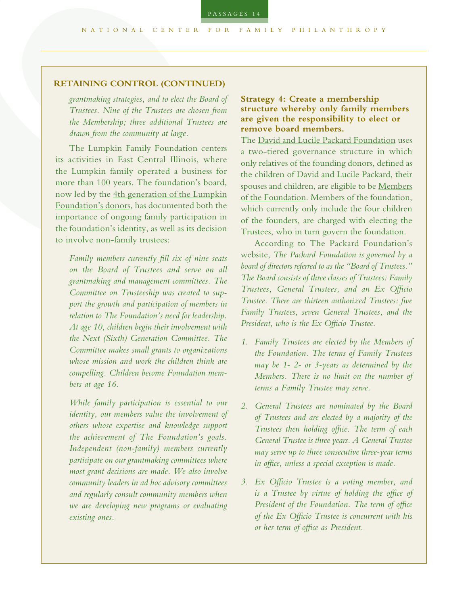#### **RETAINING CONTROL (CONTINUED)**

*grantmaking strategies, and to elect the Board of Trustees. Nine of the Trustees are chosen from the Membership; three additional Trustees are drawn from the community at large.*

The Lumpkin Family Foundation centers its activities in East Central Illinois, where the Lumpkin family operated a business for more than 100 years. The foundation's board, now led by the [4th generation of the Lumpkin](http://www.lumpkinfoundation.org/Videos.aspx) [Foundation's donors,](http://www.lumpkinfoundation.org/Videos.aspx) has documented both the importance of ongoing family participation in the foundation's identity, as well as its decision to involve non-family trustees:

*Family members currently fll six of nine seats on the Board of Trustees and serve on all grantmaking and management committees. The Committee on Trusteeship was created to support the growth and participation of members in relation to The Foundation's need for leadership. At age 10, children begin their involvement with the Next (Sixth) Generation Committee. The Committee makes small grants to organizations whose mission and work the children think are compelling. Children become Foundation members at age 16.*

*While family participation is essential to our identity, our members value the involvement of others whose expertise and knowledge support the achievement of The Foundation's goals. Independent (non-family) members currently participate on our grantmaking committees where most grant decisions are made. We also involve community leaders in ad hoc advisory committees and regularly consult community members when we are developing new programs or evaluating existing ones.*

## **Strategy 4: Create a membership structure whereby only family members are given the responsibility to elect or remove board members.**

The [David and Lucile Packard Foundation](http://www.packard.org/categoryDetails.aspx?RootCatID=2&CategoryID=56) uses a two-tiered governance structure in which only relatives of the founding donors, defned as the children of David and Lucile Packard, their spouses and children, are eligible to be [Members](http://www.packard.org/assets/files/about_the_foundation/how_we_operate/governance/PFMembersOfFound.pdf)  [of the Foundation](http://www.packard.org/assets/files/about_the_foundation/how_we_operate/governance/PFMembersOfFound.pdf). Members of the foundation, which currently only include the four children of the founders, are charged with electing the Trustees, who in turn govern the foundation.

According to The Packard Foundation's website, *The Packard Foundation is governed by a board of directors referred to as the "Board of [Trustees](http://www.packard.org/assets/files/about_the_foundation/how_we_operate/governance/PFTrustees.pdf)." The Board consists of three classes of Trustees: Family Trustees, General Trustees, and an Ex Ofcio Trustee. There are thirteen authorized Trustees: fve Family Trustees, seven General Trustees, and the President, who is the Ex Ofcio Trustee*.

- *1. Family Trustees are elected by the Members of the Foundation. The terms of Family Trustees may be 1- 2- or 3-years as determined by the Members. There is no limit on the number of terms a Family Trustee may serve.*
- *2. General Trustees are nominated by the Board of Trustees and are elected by a majority of the Trustees then holding ofce. The term of each General Trustee is three years. A General Trustee may serve up to three consecutive three-year terms in ofce, unless a special exception is made.*
- *3. Ex Ofcio Trustee is a voting member, and is a Trustee by virtue of holding the ofce of President of the Foundation. The term of ofce of the Ex Ofcio Trustee is concurrent with his or her term of ofce as President.*